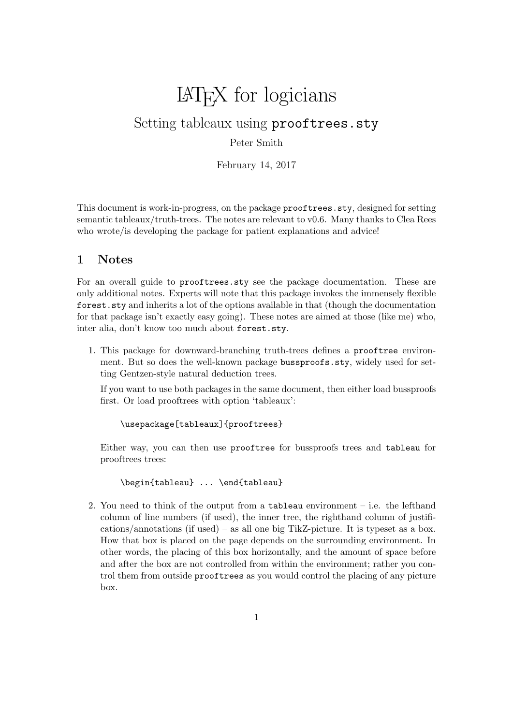# LATEX for logicians

Setting tableaux using prooftrees.sty

Peter Smith

February 14, 2017

This document is work-in-progress, on the package prooftrees.sty, designed for setting semantic tableaux/truth-trees. The notes are relevant to v0.6. Many thanks to Clea Rees who wrote/is developing the package for patient explanations and advice!

## 1 Notes

For an overall guide to prooftrees.sty see the package documentation. These are only additional notes. Experts will note that this package invokes the immensely flexible forest.sty and inherits a lot of the options available in that (though the documentation for that package isn't exactly easy going). These notes are aimed at those (like me) who, inter alia, don't know too much about forest.sty.

1. This package for downward-branching truth-trees defines a prooftree environment. But so does the well-known package bussproofs.sty, widely used for setting Gentzen-style natural deduction trees.

If you want to use both packages in the same document, then either load bussproofs first. Or load prooftrees with option 'tableaux':

\usepackage[tableaux]{prooftrees}

Either way, you can then use prooftree for bussproofs trees and tableau for prooftrees trees:

\begin{tableau} ... \end{tableau}

2. You need to think of the output from a tableau environment  $-$  i.e. the lefthand column of line numbers (if used), the inner tree, the righthand column of justifications/annotations (if used) – as all one big TikZ-picture. It is typeset as a box. How that box is placed on the page depends on the surrounding environment. In other words, the placing of this box horizontally, and the amount of space before and after the box are not controlled from within the environment; rather you control them from outside prooftrees as you would control the placing of any picture box.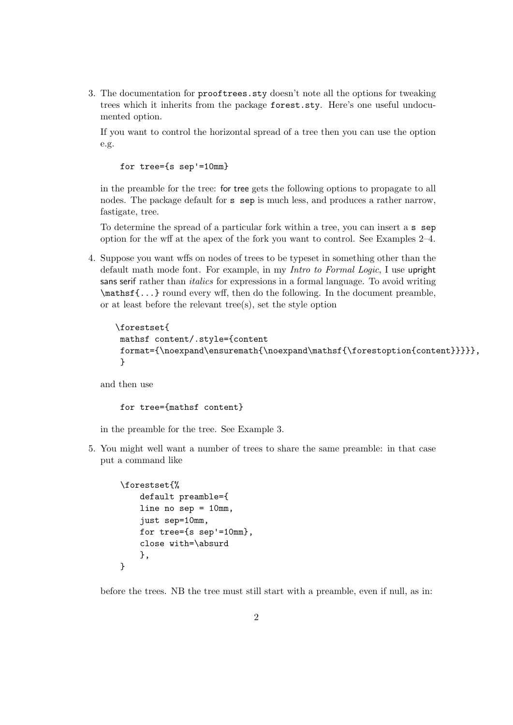3. The documentation for prooftrees.sty doesn't note all the options for tweaking trees which it inherits from the package forest.sty. Here's one useful undocumented option.

If you want to control the horizontal spread of a tree then you can use the option e.g.

for tree={s sep'=10mm}

in the preamble for the tree: for tree gets the following options to propagate to all nodes. The package default for s sep is much less, and produces a rather narrow, fastigate, tree.

To determine the spread of a particular fork within a tree, you can insert a s sep option for the wff at the apex of the fork you want to control. See Examples 2–4.

4. Suppose you want wffs on nodes of trees to be typeset in something other than the default math mode font. For example, in my Intro to Formal Logic, I use upright sans serif rather than *italics* for expressions in a formal language. To avoid writing \mathsf{...} round every wff, then do the following. In the document preamble, or at least before the relevant tree(s), set the style option

```
\forestset{
mathsf content/.style={content
format={\noexpand\ensuremath{\noexpand\mathsf{\forestoption{content}}}}},
}
```
and then use

```
for tree={mathsf content}
```
in the preamble for the tree. See Example 3.

5. You might well want a number of trees to share the same preamble: in that case put a command like

```
\forestset{%
    default preamble={
    line no sep = 10mm,
    just sep=10mm,
    for tree={s sep'=10mm},
    close with=\absurd
    },
}
```
before the trees. NB the tree must still start with a preamble, even if null, as in: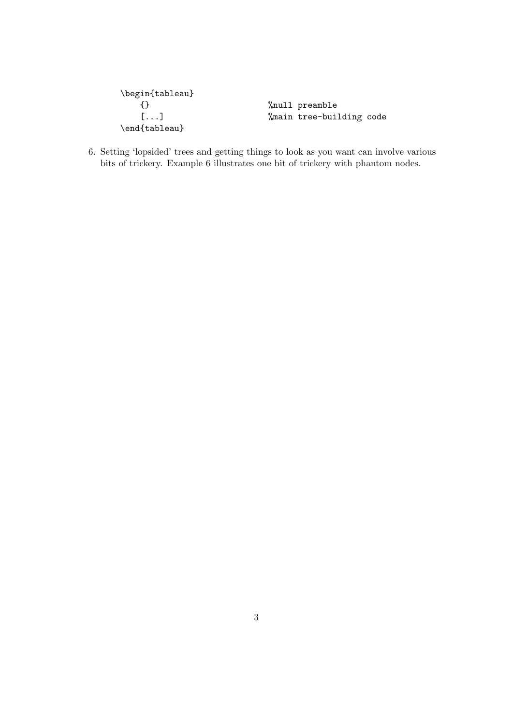```
\begin{tableau}
   {} %null preamble
                      %main tree-building code
\end{tableau}
```
6. Setting 'lopsided' trees and getting things to look as you want can involve various bits of trickery. Example 6 illustrates one bit of trickery with phantom nodes.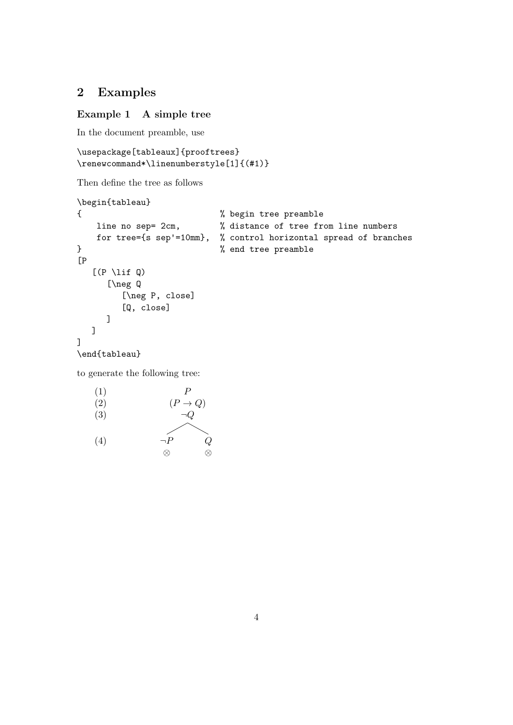## 2 Examples

#### Example 1 A simple tree

In the document preamble, use

```
\usepackage[tableaux]{prooftrees}
\renewcommand*\linenumberstyle[1]{(#1)}
```
Then define the tree as follows

```
\begin{tableau}
{ % begin tree preamble
   line no sep= 2cm, % distance of tree from line numbers
   for tree={s sep'=10mm}, % control horizontal spread of branches
} % end tree preamble
[P
  [(P \setminus \text{lift } Q)][\neg Q
        [\neg P, close]
        [Q, close]
     ]
  ]
]
\end{tableau}
to generate the following tree:
   (1)
   (2)
   (3)
                    P
                 (P \to Q)\neg Q
```
(4)  $\neg P$ ⊗  $Q$ ⊗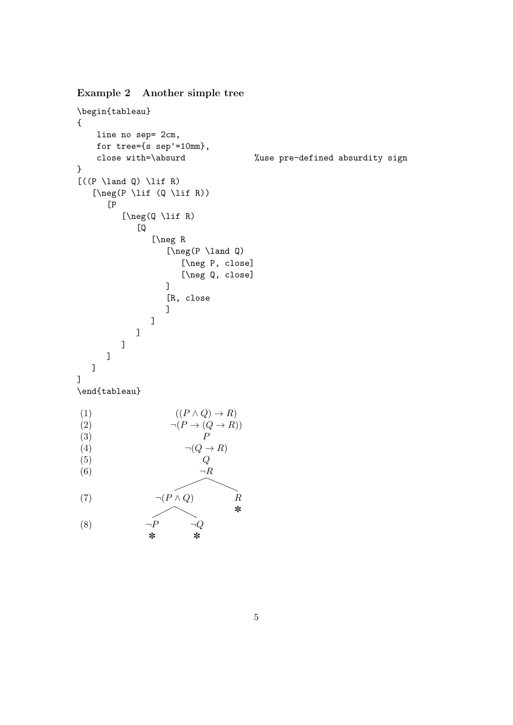Example 2 Another simple tree

```
\begin{tableau}
{
     line no sep= 2cm,
     for tree={s sep'=10mm},
     close with=\absurd %use pre-defined absurdity sign
}
[(P \land \land Q) \land \exists f R)[\n\begin{array}{cc} \lceil \ln(\mathsf{P} \setminus \mathsf{Lif} \mathsf{R}) \rceil \end{array}]\overline{P}[\neg(Q \lif R)
                  [Q
                      [\neg R
                           [\n\begin{array}{ccc} P \ \land \end{array}][\neg P, close]
                                [\neg Q, close]
                           ]
                           [R, close
                           ]
                      ]
                 ]
             ]
        ]
    ]
]
\end{tableau}
(1)
(2)
(3)
(4)
(5)
(6)
(7)
(8)
                             ((P \wedge Q) \rightarrow R)\neg (P \to (Q \to R))P
                                 \neg(Q \to R)\overline{Q}\neg R\neg (P \land Q)\neg P✽
                                   \neg Q✽
                                                R
                                                ✽
```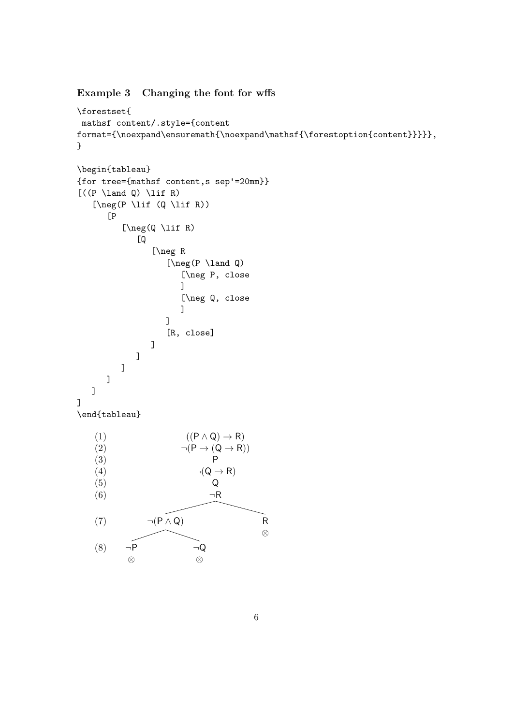### Example 3 Changing the font for wffs

```
\forestset{
 mathsf content/.style={content
format={\noexpand\ensuremath{\noexpand\mathsf{\forestoption{content}}}}},
}
\begin{tableau}
{for tree={mathsf content,s sep'=20mm}}
[(P \land \land Q) \land \exists f R)[\n\begin{array}{cc} \lceil \ln e \rceil \end{array}][P
            [\neg(Q \lif R)
                [Q
                    [\neg R
                        [\neg(P \land Q)
                            [\neg P, close
                           ]
                            [\neg Q, close
                            ]
                        ]
                        [R, close]
                    ]
               ]
           ]
        ]
    \overline{1}]
\end{tableau}
    (1)
    (2)
    (3)
    (4)
    (5)
    (6)
    (7)
    (8)
                             ((P \land Q) \rightarrow R)\neg (P \rightarrow (Q \rightarrow R))P
                                \neg(Q \rightarrow R)Q
                                   ¬R
                   \neg (P \land Q)¬P
             ⊗
                               ¬Q
                                ⊗
                                                  R
                                                  ⊗
```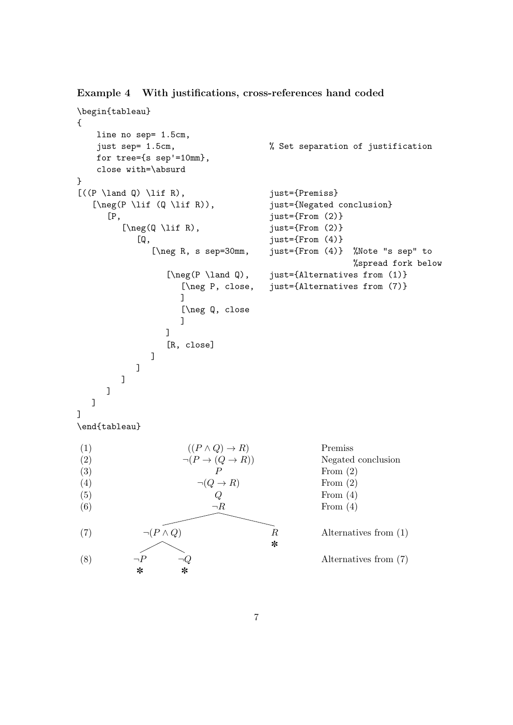Example 4 With justifications, cross-references hand coded

```
\begin{tableau}
{
    line no sep= 1.5cm,
    just sep= 1.5cm, % Set separation of justification
    for tree={s sep'=10mm},
    close with=\absurd
}
[(P \land \text{Q}) \land \text{R}), just={Premiss}
   [\n\begin{bmatrix} P \setminus \text{lif } (Q \setminus \text{lif } R) \end{bmatrix}, \text{just} = \text{Negated conclusion}[P, just={From (2)}
          [\n\begin{array}{ccc}\n\text{log}(\mathbb{Q} \setminus \text{lift } R), & \text{just}=\n\end{array}[Q, just={From (4)}
                 [\neg R, s sep=30mm, just={From (4)} %Note "s sep" to
                                                                %spread fork below
                     [\neg(P \land Q), just={Alternatives from (1)}
                        [\neg P, close, just={Alternatives from (7)}
                        ]
                        [\neg Q, close
                        ]
                    ]
                     [R, close]
                 ]
             ]
          ]
      ]
   ]
]
\end{tableau}
(1)
(2)
(3)
(4)
(5)
(6)
(7)
(8)
                         ((P \wedge Q) \rightarrow R)\neg (P \to (Q \to R))P
                            \neg(Q \to R)Q\neg R\neg (P \land Q)\neg P✽
                        \neg Q✽
                                             R
                                             ✽
                                                         Premiss
                                                         Negated conclusion
                                                         From (2)
                                                         From (2)
                                                         From (4)
                                                         From (4)
                                                         Alternatives from (1)
                                                         Alternatives from (7)
```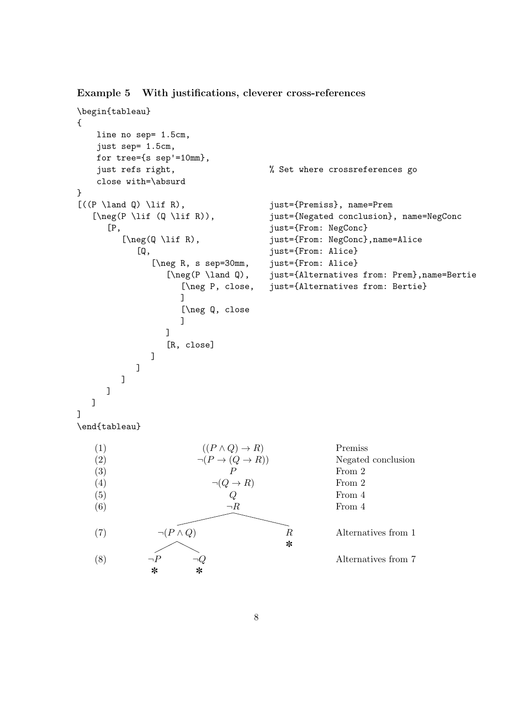Example 5 With justifications, cleverer cross-references

```
\begin{tableau}
{
   line no sep= 1.5cm,
   just sep= 1.5cm,
   for tree={s sep'=10mm},
    just refs right, % Set where crossreferences go
   close with=\absurd
}
[(P \land \land Q) \land \iff R), just={Premiss}, name=Prem
   [\neg(P \lif (Q \lif R)), just={Negated conclusion}, name=NegConc
      [P, just={From: NegConc}
         [\neg(Q \lif R), just={From: NegConc},name=Alice
            [Q, just={From: Alice}
               [\neg R, s sep=30mm, just={From: Alice}
                  [\neg(P \land Q), just={Alternatives from: Prem},name=Bertie
                     [\neg P, close, just={Alternatives from: Bertie}
                     ]
                     [\neg Q, close
                     ]
                  ]
                  [R, close]
              ]
           ]
        ]
     ]
  ]
]
\end{tableau}
   (1)
   (2)
   (3)
   (4)
   (5)
   (6)
   (7)
   (8)
                         ((P \wedge Q) \rightarrow R)\neg (P \rightarrow (Q \rightarrow R))P
                           \neg(Q \rightarrow R)Q\neg R\neg (P \land Q)\neg P✽
                       \neg Q✽
                                          R
                                          ✽
                                                    Premiss
                                                    Negated conclusion
                                                    From 2
                                                    From 2
                                                    From 4
                                                    From 4
                                                    Alternatives from 1
                                                    Alternatives from 7
```